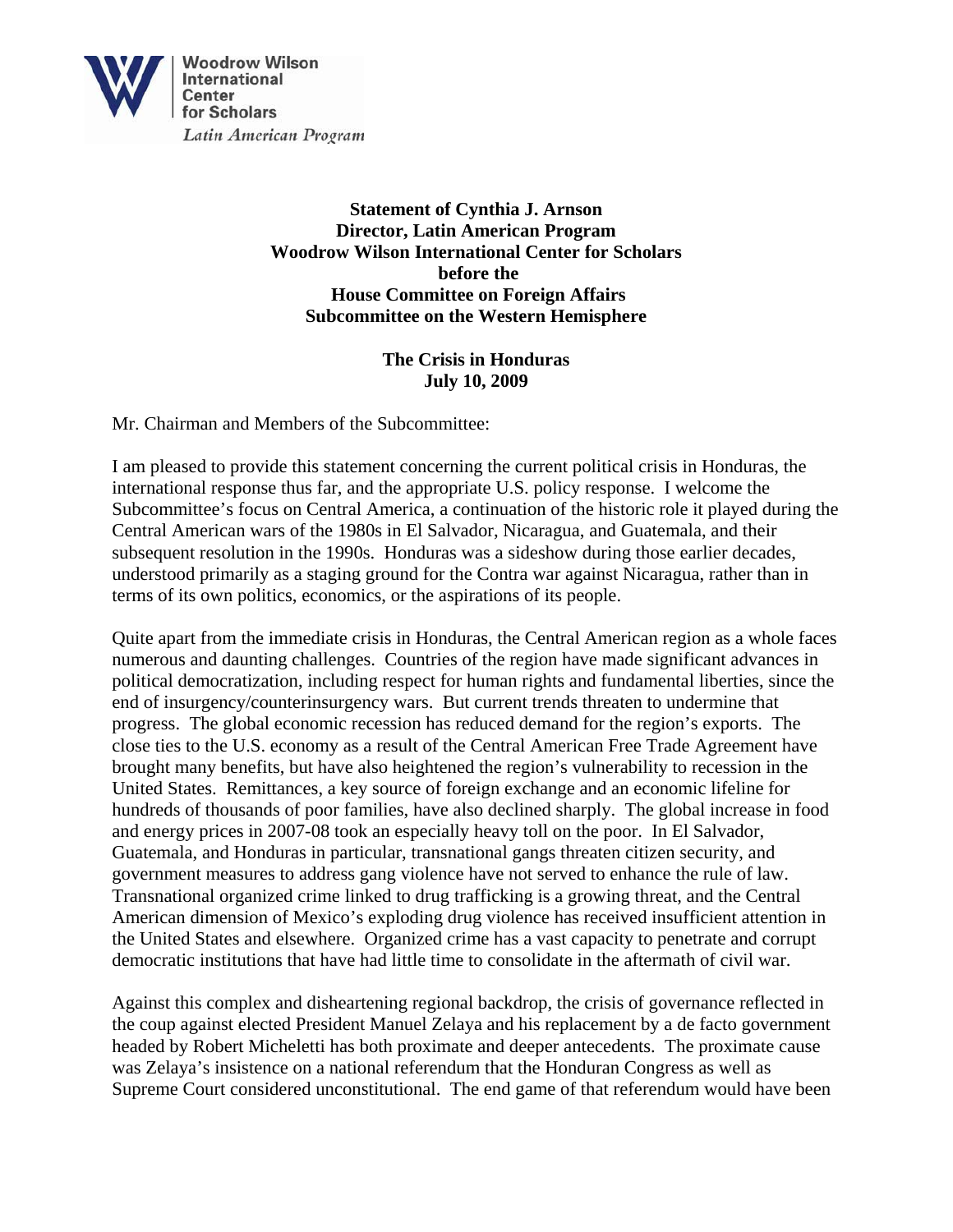

**Statement of Cynthia J. Arnson Director, Latin American Program Woodrow Wilson International Center for Scholars before the House Committee on Foreign Affairs Subcommittee on the Western Hemisphere** 

> **The Crisis in Honduras July 10, 2009**

Mr. Chairman and Members of the Subcommittee:

I am pleased to provide this statement concerning the current political crisis in Honduras, the international response thus far, and the appropriate U.S. policy response. I welcome the Subcommittee's focus on Central America, a continuation of the historic role it played during the Central American wars of the 1980s in El Salvador, Nicaragua, and Guatemala, and their subsequent resolution in the 1990s. Honduras was a sideshow during those earlier decades, understood primarily as a staging ground for the Contra war against Nicaragua, rather than in terms of its own politics, economics, or the aspirations of its people.

Quite apart from the immediate crisis in Honduras, the Central American region as a whole faces numerous and daunting challenges. Countries of the region have made significant advances in political democratization, including respect for human rights and fundamental liberties, since the end of insurgency/counterinsurgency wars. But current trends threaten to undermine that progress. The global economic recession has reduced demand for the region's exports. The close ties to the U.S. economy as a result of the Central American Free Trade Agreement have brought many benefits, but have also heightened the region's vulnerability to recession in the United States. Remittances, a key source of foreign exchange and an economic lifeline for hundreds of thousands of poor families, have also declined sharply. The global increase in food and energy prices in 2007-08 took an especially heavy toll on the poor. In El Salvador, Guatemala, and Honduras in particular, transnational gangs threaten citizen security, and government measures to address gang violence have not served to enhance the rule of law. Transnational organized crime linked to drug trafficking is a growing threat, and the Central American dimension of Mexico's exploding drug violence has received insufficient attention in the United States and elsewhere. Organized crime has a vast capacity to penetrate and corrupt democratic institutions that have had little time to consolidate in the aftermath of civil war.

Against this complex and disheartening regional backdrop, the crisis of governance reflected in the coup against elected President Manuel Zelaya and his replacement by a de facto government headed by Robert Micheletti has both proximate and deeper antecedents. The proximate cause was Zelaya's insistence on a national referendum that the Honduran Congress as well as Supreme Court considered unconstitutional. The end game of that referendum would have been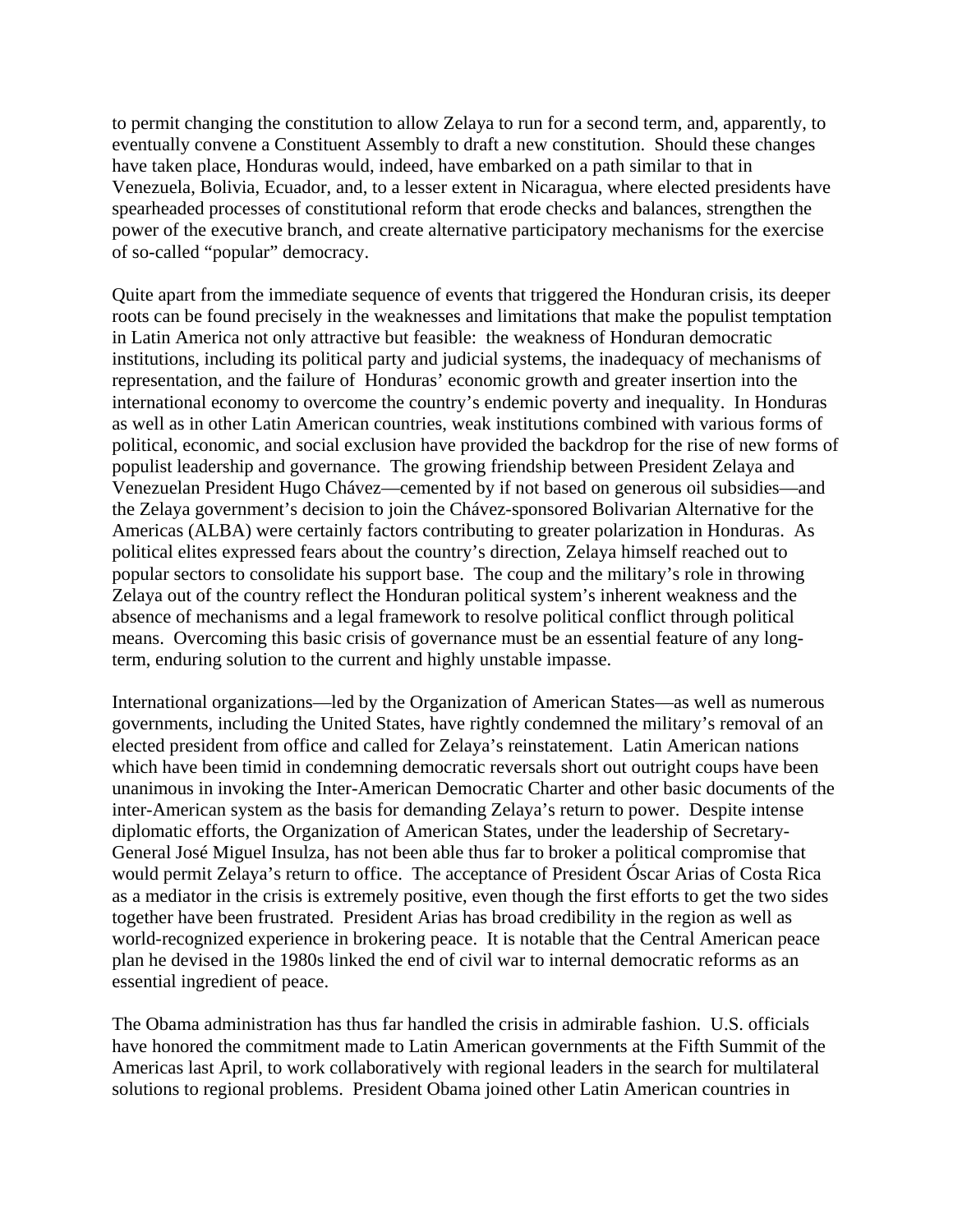to permit changing the constitution to allow Zelaya to run for a second term, and, apparently, to eventually convene a Constituent Assembly to draft a new constitution. Should these changes have taken place, Honduras would, indeed, have embarked on a path similar to that in Venezuela, Bolivia, Ecuador, and, to a lesser extent in Nicaragua, where elected presidents have spearheaded processes of constitutional reform that erode checks and balances, strengthen the power of the executive branch, and create alternative participatory mechanisms for the exercise of so-called "popular" democracy.

Quite apart from the immediate sequence of events that triggered the Honduran crisis, its deeper roots can be found precisely in the weaknesses and limitations that make the populist temptation in Latin America not only attractive but feasible: the weakness of Honduran democratic institutions, including its political party and judicial systems, the inadequacy of mechanisms of representation, and the failure of Honduras' economic growth and greater insertion into the international economy to overcome the country's endemic poverty and inequality. In Honduras as well as in other Latin American countries, weak institutions combined with various forms of political, economic, and social exclusion have provided the backdrop for the rise of new forms of populist leadership and governance. The growing friendship between President Zelaya and Venezuelan President Hugo Chávez—cemented by if not based on generous oil subsidies—and the Zelaya government's decision to join the Chávez-sponsored Bolivarian Alternative for the Americas (ALBA) were certainly factors contributing to greater polarization in Honduras. As political elites expressed fears about the country's direction, Zelaya himself reached out to popular sectors to consolidate his support base. The coup and the military's role in throwing Zelaya out of the country reflect the Honduran political system's inherent weakness and the absence of mechanisms and a legal framework to resolve political conflict through political means. Overcoming this basic crisis of governance must be an essential feature of any longterm, enduring solution to the current and highly unstable impasse.

International organizations—led by the Organization of American States—as well as numerous governments, including the United States, have rightly condemned the military's removal of an elected president from office and called for Zelaya's reinstatement. Latin American nations which have been timid in condemning democratic reversals short out outright coups have been unanimous in invoking the Inter-American Democratic Charter and other basic documents of the inter-American system as the basis for demanding Zelaya's return to power. Despite intense diplomatic efforts, the Organization of American States, under the leadership of Secretary-General José Miguel Insulza, has not been able thus far to broker a political compromise that would permit Zelaya's return to office. The acceptance of President Óscar Arias of Costa Rica as a mediator in the crisis is extremely positive, even though the first efforts to get the two sides together have been frustrated. President Arias has broad credibility in the region as well as world-recognized experience in brokering peace. It is notable that the Central American peace plan he devised in the 1980s linked the end of civil war to internal democratic reforms as an essential ingredient of peace.

The Obama administration has thus far handled the crisis in admirable fashion. U.S. officials have honored the commitment made to Latin American governments at the Fifth Summit of the Americas last April, to work collaboratively with regional leaders in the search for multilateral solutions to regional problems. President Obama joined other Latin American countries in